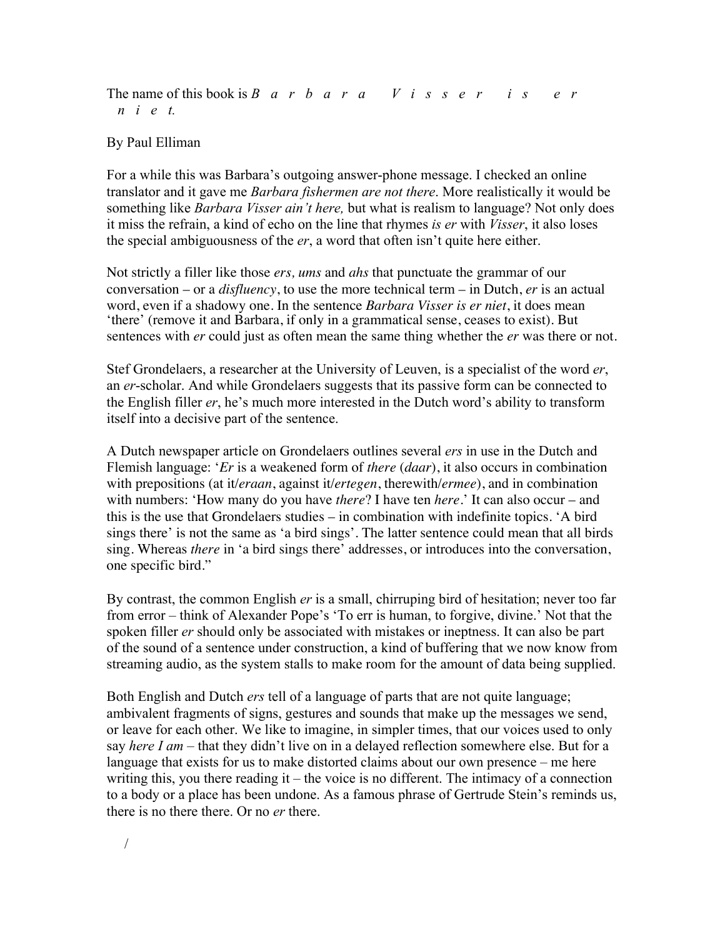## The name of this book is *Barbara Visser is er niet.*

## By Paul Elliman

For a while this was Barbara's outgoing answer-phone message. I checked an online translator and it gave me *Barbara fishermen are not there*. More realistically it would be something like *Barbara Visser ain't here,* but what is realism to language? Not only does it miss the refrain, a kind of echo on the line that rhymes *is er* with *Visser*, it also loses the special ambiguousness of the *er*, a word that often isn't quite here either.

Not strictly a filler like those *ers, ums* and *ahs* that punctuate the grammar of our conversation – or a *disfluency*, to use the more technical term – in Dutch, *er* is an actual word, even if a shadowy one. In the sentence *Barbara Visser is er niet*, it does mean 'there' (remove it and Barbara, if only in a grammatical sense, ceases to exist). But sentences with *er* could just as often mean the same thing whether the *er* was there or not.

Stef Grondelaers, a researcher at the University of Leuven, is a specialist of the word *er*, an *er*-scholar. And while Grondelaers suggests that its passive form can be connected to the English filler *er*, he's much more interested in the Dutch word's ability to transform itself into a decisive part of the sentence.

A Dutch newspaper article on Grondelaers outlines several *ers* in use in the Dutch and Flemish language: '*Er* is a weakened form of *there* (*daar*), it also occurs in combination with prepositions (at it/*eraan*, against it/*ertegen*, therewith/*ermee*), and in combination with numbers: 'How many do you have *there*? I have ten *here*.' It can also occur – and this is the use that Grondelaers studies – in combination with indefinite topics. 'A bird sings there' is not the same as 'a bird sings'. The latter sentence could mean that all birds sing. Whereas *there* in 'a bird sings there' addresses, or introduces into the conversation, one specific bird."

By contrast, the common English *er* is a small, chirruping bird of hesitation; never too far from error – think of Alexander Pope's 'To err is human, to forgive, divine.' Not that the spoken filler *er* should only be associated with mistakes or ineptness. It can also be part of the sound of a sentence under construction, a kind of buffering that we now know from streaming audio, as the system stalls to make room for the amount of data being supplied.

Both English and Dutch *ers* tell of a language of parts that are not quite language; ambivalent fragments of signs, gestures and sounds that make up the messages we send, or leave for each other. We like to imagine, in simpler times, that our voices used to only say *here I am* – that they didn't live on in a delayed reflection somewhere else. But for a language that exists for us to make distorted claims about our own presence – me here writing this, you there reading it – the voice is no different. The intimacy of a connection to a body or a place has been undone. As a famous phrase of Gertrude Stein's reminds us, there is no there there. Or no *er* there.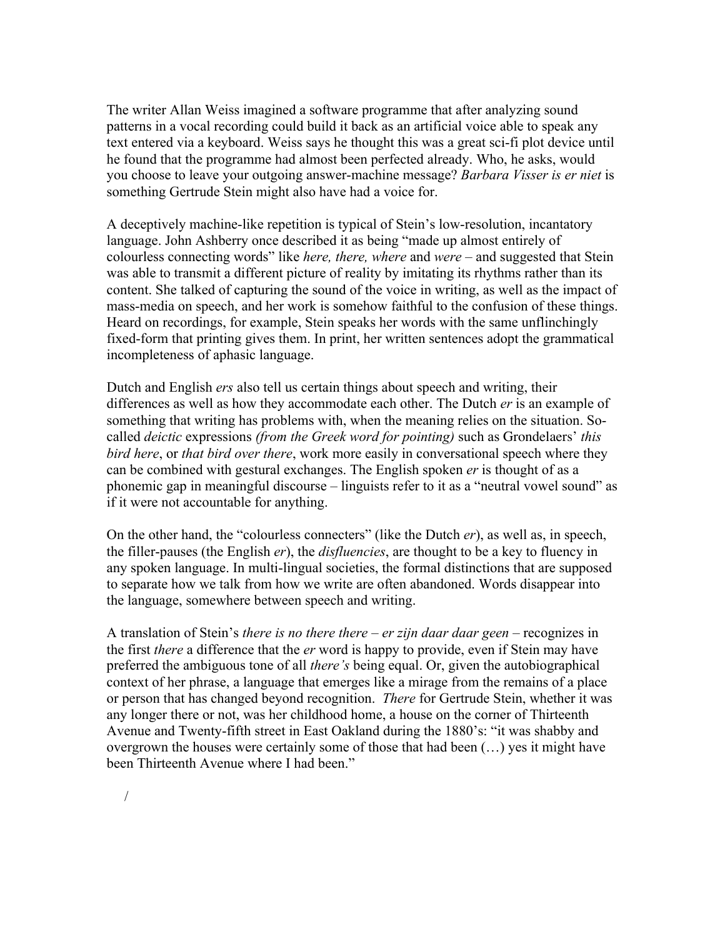The writer Allan Weiss imagined a software programme that after analyzing sound patterns in a vocal recording could build it back as an artificial voice able to speak any text entered via a keyboard. Weiss says he thought this was a great sci-fi plot device until he found that the programme had almost been perfected already. Who, he asks, would you choose to leave your outgoing answer-machine message? *Barbara Visser is er niet* is something Gertrude Stein might also have had a voice for.

A deceptively machine-like repetition is typical of Stein's low-resolution, incantatory language. John Ashberry once described it as being "made up almost entirely of colourless connecting words" like *here, there, where* and *were* – and suggested that Stein was able to transmit a different picture of reality by imitating its rhythms rather than its content. She talked of capturing the sound of the voice in writing, as well as the impact of mass-media on speech, and her work is somehow faithful to the confusion of these things. Heard on recordings, for example, Stein speaks her words with the same unflinchingly fixed-form that printing gives them. In print, her written sentences adopt the grammatical incompleteness of aphasic language.

Dutch and English *ers* also tell us certain things about speech and writing, their differences as well as how they accommodate each other. The Dutch *er* is an example of something that writing has problems with, when the meaning relies on the situation. Socalled *deictic* expressions *(from the Greek word for pointing)* such as Grondelaers' *this bird here*, or *that bird over there*, work more easily in conversational speech where they can be combined with gestural exchanges. The English spoken *er* is thought of as a phonemic gap in meaningful discourse – linguists refer to it as a "neutral vowel sound" as if it were not accountable for anything.

On the other hand, the "colourless connecters" (like the Dutch *er*), as well as, in speech, the filler-pauses (the English *er*), the *disfluencies*, are thought to be a key to fluency in any spoken language. In multi-lingual societies, the formal distinctions that are supposed to separate how we talk from how we write are often abandoned. Words disappear into the language, somewhere between speech and writing.

A translation of Stein's *there is no there there* – *er zijn daar daar geen* – recognizes in the first *there* a difference that the *er* word is happy to provide, even if Stein may have preferred the ambiguous tone of all *there's* being equal. Or, given the autobiographical context of her phrase, a language that emerges like a mirage from the remains of a place or person that has changed beyond recognition. *There* for Gertrude Stein, whether it was any longer there or not, was her childhood home, a house on the corner of Thirteenth Avenue and Twenty-fifth street in East Oakland during the 1880's: "it was shabby and overgrown the houses were certainly some of those that had been (…) yes it might have been Thirteenth Avenue where I had been."